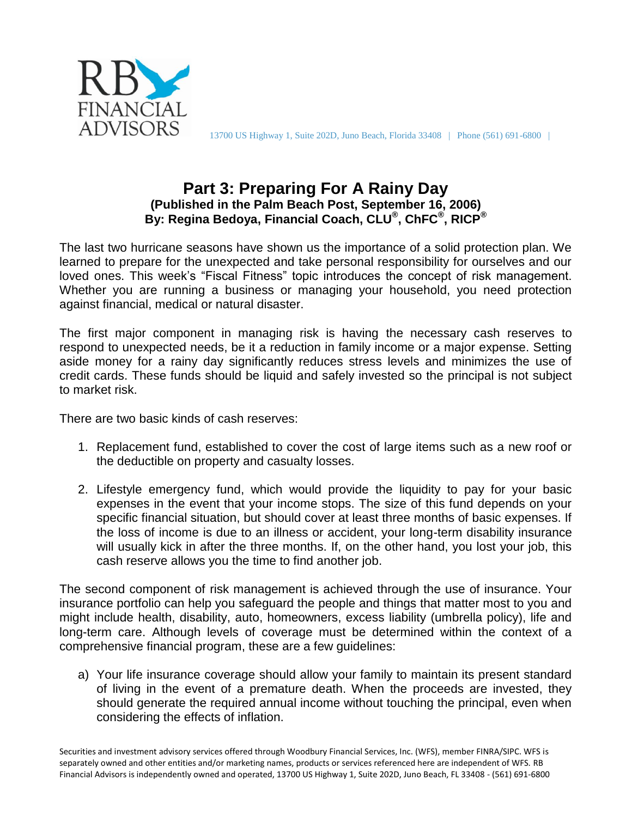

## **Part 3: Preparing For A Rainy Day (Published in the Palm Beach Post, September 16, 2006) By: Regina Bedoya, Financial Coach, CLU® , ChFC® , RICP®**

The last two hurricane seasons have shown us the importance of a solid protection plan. We learned to prepare for the unexpected and take personal responsibility for ourselves and our loved ones. This week's "Fiscal Fitness" topic introduces the concept of risk management. Whether you are running a business or managing your household, you need protection against financial, medical or natural disaster.

The first major component in managing risk is having the necessary cash reserves to respond to unexpected needs, be it a reduction in family income or a major expense. Setting aside money for a rainy day significantly reduces stress levels and minimizes the use of credit cards. These funds should be liquid and safely invested so the principal is not subject to market risk.

There are two basic kinds of cash reserves:

- 1. Replacement fund, established to cover the cost of large items such as a new roof or the deductible on property and casualty losses.
- 2. Lifestyle emergency fund, which would provide the liquidity to pay for your basic expenses in the event that your income stops. The size of this fund depends on your specific financial situation, but should cover at least three months of basic expenses. If the loss of income is due to an illness or accident, your long-term disability insurance will usually kick in after the three months. If, on the other hand, you lost your job, this cash reserve allows you the time to find another job.

The second component of risk management is achieved through the use of insurance. Your insurance portfolio can help you safeguard the people and things that matter most to you and might include health, disability, auto, homeowners, excess liability (umbrella policy), life and long-term care. Although levels of coverage must be determined within the context of a comprehensive financial program, these are a few guidelines:

a) Your life insurance coverage should allow your family to maintain its present standard of living in the event of a premature death. When the proceeds are invested, they should generate the required annual income without touching the principal, even when considering the effects of inflation.

Securities and investment advisory services offered through Woodbury Financial Services, Inc. (WFS), member FINRA/SIPC. WFS is separately owned and other entities and/or marketing names, products or services referenced here are independent of WFS. RB Financial Advisors is independently owned and operated, 13700 US Highway 1, Suite 202D, Juno Beach, FL 33408 - (561) 691-6800